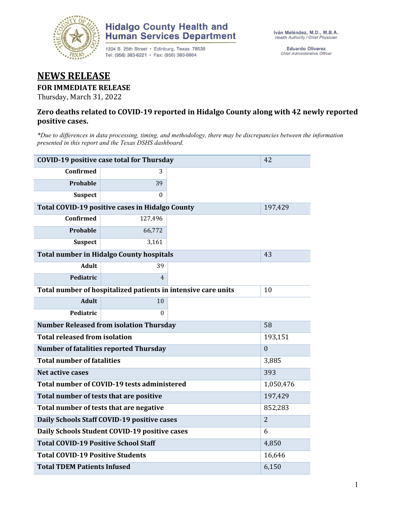

## **Hidalgo County Health and Human Services Department**

1304 S. 25th Street · Edinburg, Texas 78539 Tel: (956) 383-6221 · Fax: (956) 383-8864

**Eduardo Olivarez** Chief Administrative Officer

# **NEWS RELEASE**

#### **FOR IMMEDIATE RELEASE**

Thursday, March 31, 2022

#### **Zero deaths related to COVID-19 reported in Hidalgo County along with 42 newly reported positive cases.**

*\*Due to differences in data processing, timing, and methodology, there may be discrepancies between the information presented in this report and the Texas DSHS dashboard.*

| <b>COVID-19 positive case total for Thursday</b> | 42                                                            |                |  |
|--------------------------------------------------|---------------------------------------------------------------|----------------|--|
| <b>Confirmed</b>                                 | 3                                                             |                |  |
| <b>Probable</b>                                  | 39                                                            |                |  |
| <b>Suspect</b>                                   | 0                                                             |                |  |
| Total COVID-19 positive cases in Hidalgo County  |                                                               | 197,429        |  |
| <b>Confirmed</b>                                 | 127,496                                                       |                |  |
| Probable                                         | 66,772                                                        |                |  |
| <b>Suspect</b>                                   | 3,161                                                         |                |  |
| <b>Total number in Hidalgo County hospitals</b>  |                                                               | 43             |  |
| <b>Adult</b>                                     | 39                                                            |                |  |
| Pediatric                                        | $\overline{4}$                                                |                |  |
|                                                  | Total number of hospitalized patients in intensive care units | 10             |  |
| <b>Adult</b>                                     | 10                                                            |                |  |
| Pediatric                                        | 0                                                             |                |  |
| <b>Number Released from isolation Thursday</b>   |                                                               | 58             |  |
| <b>Total released from isolation</b>             | 193,151                                                       |                |  |
| <b>Number of fatalities reported Thursday</b>    | $\theta$                                                      |                |  |
| <b>Total number of fatalities</b>                | 3,885                                                         |                |  |
| Net active cases                                 | 393                                                           |                |  |
| Total number of COVID-19 tests administered      | 1,050,476                                                     |                |  |
| Total number of tests that are positive          | 197,429                                                       |                |  |
| Total number of tests that are negative          | 852,283                                                       |                |  |
| Daily Schools Staff COVID-19 positive cases      |                                                               | $\overline{2}$ |  |
| Daily Schools Student COVID-19 positive cases    | 6                                                             |                |  |
| <b>Total COVID-19 Positive School Staff</b>      | 4,850                                                         |                |  |
| <b>Total COVID-19 Positive Students</b>          | 16,646                                                        |                |  |
| <b>Total TDEM Patients Infused</b>               | 6,150                                                         |                |  |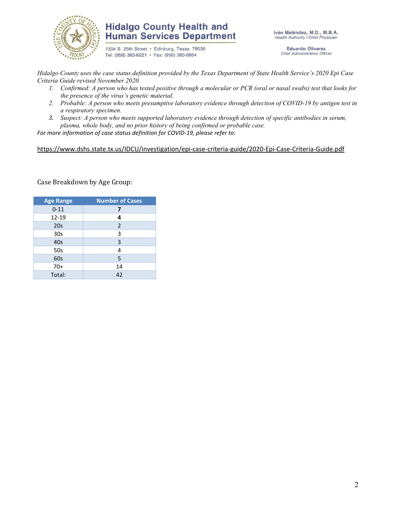

## **Hidalgo County Health and Human Services Department**

1304 S. 25th Street · Edinburg, Texas 78539 Tel: (956) 383-6221 · Fax: (956) 383-8864

Iván Meléndez, M.D., M.B.A. Health Authority / Chief Physician

> **Eduardo Olivarez** Chief Administrative Officer

*Hidalgo County uses the case status definition provided by the Texas Department of State Health Service's 2020 Epi Case Criteria Guide revised November 2020.*

- *1. Confirmed: A person who has tested positive through a molecular or PCR (oral or nasal swabs) test that looks for the presence of the virus's genetic material.*
- *2. Probable: A person who meets presumptive laboratory evidence through detection of COVID-19 by antigen test in a respiratory specimen.*
- *3. Suspect: A person who meets supported laboratory evidence through detection of specific antibodies in serum, plasma, whole body, and no prior history of being confirmed or probable case.*

*For more information of case status definition for COVID-19, please refer to:*

<https://www.dshs.state.tx.us/IDCU/investigation/epi-case-criteria-guide/2020-Epi-Case-Criteria-Guide.pdf>

Case Breakdown by Age Group:

| <b>Age Range</b> | <b>Number of Cases</b> |  |  |  |
|------------------|------------------------|--|--|--|
| $0 - 11$         | 7                      |  |  |  |
| $12 - 19$        | 4                      |  |  |  |
| 20s              | 2                      |  |  |  |
| 30 <sub>s</sub>  | 3                      |  |  |  |
| 40s              | 3                      |  |  |  |
| 50s              | 4                      |  |  |  |
| 60s              | 5                      |  |  |  |
| $70+$            | 14                     |  |  |  |
| Total:           | 42                     |  |  |  |